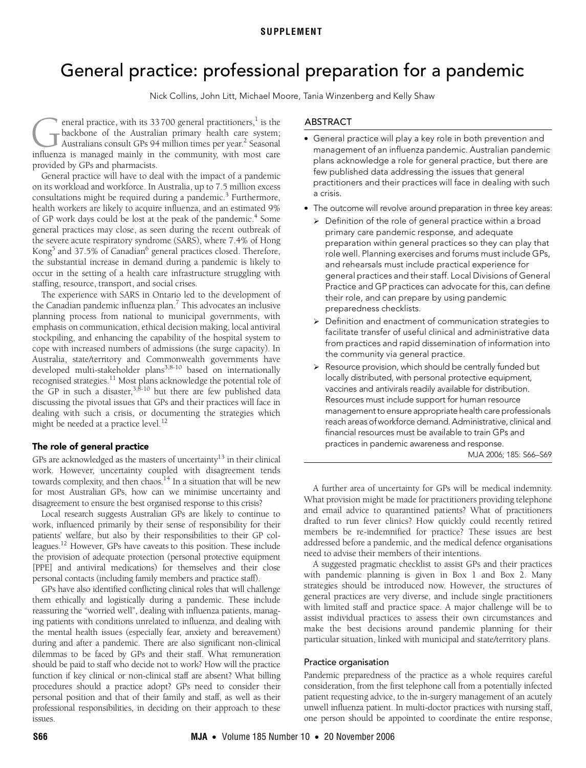# <span id="page-0-0"></span>General practice: professional preparation for a pandemic

Nick Collins, John Litt, Michael Moore, Tania Winzenberg and Kelly Shaw

eneral practice, with its 33 700 general practitioners, $^1$  is the backbone of the Australian primary health care system; Australians consult GPs 94 million times per year.<sup>2</sup> Seasonal eneral practice, with its 33 700 general practitioners,<sup>1</sup> is the backbone of the Australian primary health care system;<br>Australians consult GPs 94 million times per year.<sup>2</sup> Seasonal influenza is managed mainly in the com provided by GPs and pharmacists.

of GT work days could be lost at the peak of the pandemic. Some<br>general practices may close, as seen [dur](#page-0-0)[ing](#page-3-13) the recent outbreak of  $\frac{20}{100}$  practices may crose, as seen during the severe acute respiratory syndrome (SARS), where 7.4% of Hong Kong<sup>[5](#page-3-4)</sup> and 37.5% of Canadian<sup>[6](#page-3-5)</sup> general practices closed. Therefore, the substantial increase in demand during a pandemic is likely to General practice will have to deal with the impact of a pandemic on its workload and workforce. In Australia, up to 7.5 million excess consultations might be required during a pandemic.<sup>[3](#page-3-2)</sup> Furthermore, health workers are likely to acquire influenza, and an estimated 9% of GP work days could be lost at the peak of the pandemic.<sup>4</sup> Some occur in the setting of a health care infrastructure struggling with staffing, resource, transport, and social crises.

The experience with SARS in Ontario led to the development of the Canadian pandemic influenza plan.<sup>[7](#page-3-6)</sup> This advocates an inclusive planning process from national to municipal governments, with emphasis on communication, ethical decision making, local antiviral stockpiling, and enhancing the capability of the hospital system to cope with increased numbers of admissions (the surge capacity). In Australia, state/territory and Commonwealth governments have developed multi-stakeholder plans<sup>3,[8-](#page-3-7)10</sup> based on internationally recognised strategies.<sup>[11](#page-3-9)</sup> Most plans acknowledge the potential role of the GP in such a disaster,  $3,8-10$  $3,8-10$  $3,8-10$  $3,8-10$  $3,8-10$  but there are few published data discussing the pivotal issues that GPs and their practices will face in dealing with such a crisis, or documenting the strategies which might be needed at a practice level.<sup>[12](#page-3-10)</sup>

# The role of general practice

GPs are acknowledged as the masters of uncertainty<sup>13</sup> in their clinical work. However, uncertainty coupled with disagreement tends towards complexity, and then chaos.<sup>14</sup> In a situation that will be new for most Australian GPs, how can we minimise uncertainty and disagreement to ensure the best organised response to this crisis?

Local research suggests Australian GPs are likely to continue to work, influenced primarily by their sense of responsibility for their patients' welfare, but also by their responsibilities to their GP colleagues[.12](#page-3-10) However, GPs have caveats to this position. These include the provision of adequate protection (personal protective equipment [PPE] and antiviral medications) for themselves and their close personal contacts (including family members and practice staff).

GPs have also identified conflicting clinical roles that will challenge them ethically and logistically during a pandemic. These include reassuring the "worried well", dealing with influenza patients, managing patients with conditions unrelated to influenza, and dealing with the mental health issues (especially fear, anxiety and bereavement) during and after a pandemic. There are also significant non-clinical dilemmas to be faced by GPs and their staff. What remuneration should be paid to staff who decide not to work? How will the practice function if key clinical or non-clinical staff are absent? What billing procedures should a practice adopt? GPs need to consider their personal position and that of their family and staff, as well as their professional responsibilities, in deciding on their approach to these issues.

## ABSTRACT

- General practice will play a key role in both prevention and management of an influenza pandemic. Australian pandemic plans acknowledge a role for general practice, but there are few published data addressing the issues that general practitioners and their practices will face in dealing with such a crisis.
- The outcome will revolve around preparation in three key areas:
	- $\triangleright$  Definition of the role of general practice within a broad primary care pandemic response, and adequate preparation within general practices so they can play that role well. Planning exercises and forums must include GPs, and rehearsals must include practical experience for general practices and their staff. Local Divisions of General Practice and GP practices can advocate for this, can define their role, and can prepare by using pandemic preparedness checklists.
	- ¾ Definition and enactment of communication strategies to facilitate transfer of useful clinical and administrative data from practices and rapid dissemination of information into the community via general practice.
	- ¾ Resource provision, which should be centrally funded but locally distributed, with personal protective equipment, vaccines and antivirals readily available for distribution. Resources must include support for human resource management to ensure appropriate health care professionals reach areas of workforce demand. Administrative, clinical and financial resources must be available to train GPs and practices in pandemic awareness and response.

MJA 2006; 185: S66–S69

A further area of uncertainty for GPs will be medical indemnity. What provision might be made for practitioners providing telephone and email advice to quarantined patients? What of practitioners drafted to run fever clinics? How quickly could recently retired members be re-indemnified for practice? These issues are best addressed before a pandemic, and the medical defence organisations need to advise their members of their intentions.

A suggested pragmatic checklist to assist GPs and their practices with pandemic planning is given in [Box 1](#page-1-0) and [Box 2.](#page-2-0) Many strategies should be introduced now. However, the structures of general practices are very diverse, and include single practitioners with limited staff and practice space. A major challenge will be to assist individual practices to assess their own circumstances and make the best decisions around pandemic planning for their particular situation, linked with municipal and state/territory plans.

#### Practice organisation

Pandemic preparedness of the practice as a whole requires careful consideration, from the first telephone call from a potentially infected patient requesting advice, to the in-surgery management of an acutely unwell influenza patient. In multi-doctor practices with nursing staff, one person should be appointed to coordinate the entire response,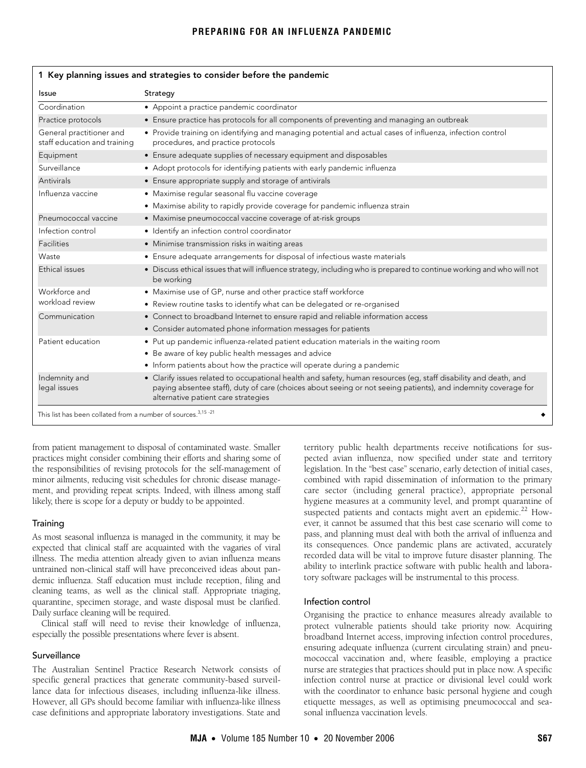# **PREPARING FOR AN INFLUENZA PANDEMIC**

<span id="page-1-0"></span>

| Issue                                                    | Strategy                                                                                                                                                                                                                                                                  |  |
|----------------------------------------------------------|---------------------------------------------------------------------------------------------------------------------------------------------------------------------------------------------------------------------------------------------------------------------------|--|
| Coordination                                             | • Appoint a practice pandemic coordinator                                                                                                                                                                                                                                 |  |
| Practice protocols                                       | • Ensure practice has protocols for all components of preventing and managing an outbreak                                                                                                                                                                                 |  |
| General practitioner and<br>staff education and training | • Provide training on identifying and managing potential and actual cases of influenza, infection control<br>procedures, and practice protocols                                                                                                                           |  |
| Equipment                                                | • Ensure adequate supplies of necessary equipment and disposables                                                                                                                                                                                                         |  |
| Surveillance                                             | • Adopt protocols for identifying patients with early pandemic influenza                                                                                                                                                                                                  |  |
| Antivirals                                               | • Ensure appropriate supply and storage of antivirals                                                                                                                                                                                                                     |  |
| Influenza vaccine                                        | · Maximise regular seasonal flu vaccine coverage                                                                                                                                                                                                                          |  |
|                                                          | • Maximise ability to rapidly provide coverage for pandemic influenza strain                                                                                                                                                                                              |  |
| Pneumococcal vaccine                                     | • Maximise pneumococcal vaccine coverage of at-risk groups                                                                                                                                                                                                                |  |
| Infection control                                        | • Identify an infection control coordinator                                                                                                                                                                                                                               |  |
| Facilities                                               | • Minimise transmission risks in waiting areas                                                                                                                                                                                                                            |  |
| Waste                                                    | • Ensure adequate arrangements for disposal of infectious waste materials                                                                                                                                                                                                 |  |
| Ethical issues                                           | • Discuss ethical issues that will influence strategy, including who is prepared to continue working and who will not<br>be working                                                                                                                                       |  |
| Workforce and                                            | • Maximise use of GP, nurse and other practice staff workforce                                                                                                                                                                                                            |  |
| workload review                                          | • Review routine tasks to identify what can be delegated or re-organised                                                                                                                                                                                                  |  |
| Communication                                            | • Connect to broadband Internet to ensure rapid and reliable information access                                                                                                                                                                                           |  |
|                                                          | • Consider automated phone information messages for patients                                                                                                                                                                                                              |  |
| Patient education                                        | • Put up pandemic influenza-related patient education materials in the waiting room                                                                                                                                                                                       |  |
|                                                          | • Be aware of key public health messages and advice                                                                                                                                                                                                                       |  |
|                                                          | • Inform patients about how the practice will operate during a pandemic                                                                                                                                                                                                   |  |
| Indemnity and<br>legal issues                            | • Clarify issues related to occupational health and safety, human resources (eg, staff disability and death, and<br>paying absentee staff), duty of care (choices about seeing or not seeing patients), and indemnity coverage for<br>alternative patient care strategies |  |

#### 1 Key planning issues and strategies to consider before the pandemic

from patient management to disposal of contaminated waste. Smaller practices might consider combining their efforts and sharing some of the responsibilities of revising protocols for the self-management of minor ailments, reducing visit schedules for chronic disease management, and providing repeat scripts. Indeed, with illness among staff likely, there is scope for a deputy or buddy to be appointed.

### **Training**

As most seasonal influenza is managed in the community, it may be expected that clinical staff are acquainted with the vagaries of viral illness. The media attention already given to avian influenza means untrained non-clinical staff will have preconceived ideas about pandemic influenza. Staff education must include reception, filing and cleaning teams, as well as the clinical staff. Appropriate triaging, quarantine, specimen storage, and waste disposal must be clarified. Daily surface cleaning will be required.

Clinical staff will need to revise their knowledge of influenza, especially the possible presentations where fever is absent.

### Surveillance

The Australian Sentinel Practice Research Network consists of specific general practices that generate community-based surveillance data for infectious diseases, including influenza-like illness. However, all GPs should become familiar with influenza-like illness case definitions and appropriate laboratory investigations. State and

territory public health departments receive notifications for suspected avian influenza, now specified under state and territory legislation. In the "best case" scenario, early detection of initial cases, combined with rapid dissemination of information to the primary care sector (including general practice), appropriate personal hygiene measures at a community level, and prompt quarantine of suspected patients and contacts might avert an epidemic.<sup>22</sup> However, it cannot be assumed that this best case scenario will come to pass, and planning must deal with both the arrival of influenza and its consequences. Once pandemic plans are activated, accurately recorded data will be vital to improve future disaster planning. The ability to interlink practice software with public health and laboratory software packages will be instrumental to this process.

#### Infection control

Organising the practice to enhance measures already available to protect vulnerable patients should take priority now. Acquiring broadband Internet access, improving infection control procedures, ensuring adequate influenza (current circulating strain) and pneumococcal vaccination and, where feasible, employing a practice nurse are strategies that practices should put in place now. A specific infection control nurse at practice or divisional level could work with the coordinator to enhance basic personal hygiene and cough etiquette messages, as well as optimising pneumococcal and seasonal influenza vaccination levels.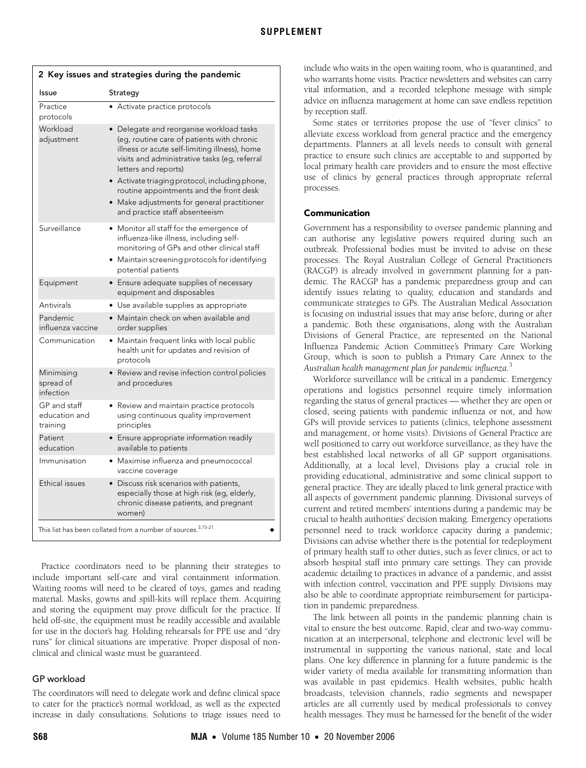<span id="page-2-0"></span>

| Issue                                     | Strategy                                                                                                                                                                                                                                                                                                                                                                                       |
|-------------------------------------------|------------------------------------------------------------------------------------------------------------------------------------------------------------------------------------------------------------------------------------------------------------------------------------------------------------------------------------------------------------------------------------------------|
| Practice<br>protocols                     | • Activate practice protocols                                                                                                                                                                                                                                                                                                                                                                  |
| Workload<br>adjustment                    | • Delegate and reorganise workload tasks<br>(eg, routine care of patients with chronic<br>illness or acute self-limiting illness), home<br>visits and administrative tasks (eg, referral<br>letters and reports)<br>• Activate triaging protocol, including phone,<br>routine appointments and the front desk<br>• Make adjustments for general practitioner<br>and practice staff absenteeism |
| Surveillance                              | • Monitor all staff for the emergence of<br>influenza-like illness, including self-<br>monitoring of GPs and other clinical staff<br>· Maintain screening protocols for identifying<br>potential patients                                                                                                                                                                                      |
| Equipment                                 | • Ensure adequate supplies of necessary<br>equipment and disposables                                                                                                                                                                                                                                                                                                                           |
| Antivirals                                | · Use available supplies as appropriate                                                                                                                                                                                                                                                                                                                                                        |
| Pandemic<br>influenza vaccine             | • Maintain check on when available and<br>order supplies                                                                                                                                                                                                                                                                                                                                       |
| Communication                             | • Maintain frequent links with local public<br>health unit for updates and revision of<br>protocols                                                                                                                                                                                                                                                                                            |
| Minimising<br>spread of<br>infection      | • Review and revise infection control policies<br>and procedures                                                                                                                                                                                                                                                                                                                               |
| GP and staff<br>education and<br>training | • Review and maintain practice protocols<br>using continuous quality improvement<br>principles                                                                                                                                                                                                                                                                                                 |
| Patient<br>education                      | • Ensure appropriate information readily<br>available to patients                                                                                                                                                                                                                                                                                                                              |
| Immunisation                              | • Maximise influenza and pneumococcal<br>vaccine coverage                                                                                                                                                                                                                                                                                                                                      |
| Ethical issues                            | • Discuss risk scenarios with patients,<br>especially those at high risk (eg, elderly,<br>chronic disease patients, and pregnant<br>women)                                                                                                                                                                                                                                                     |

Practice coordinators need to be planning their strategies to include important self-care and viral containment information. Waiting rooms will need to be cleared of toys, games and reading material. Masks, gowns and spill-kits will replace them. Acquiring and storing the equipment may prove difficult for the practice. If held off-site, the equipment must be readily accessible and available for use in the doctor's bag. Holding rehearsals for PPE use and "dry runs" for clinical situations are imperative. Proper disposal of nonclinical and clinical waste must be guaranteed.

# GP workload

The coordinators will need to delegate work and define clinical space to cater for the practice's normal workload, as well as the expected increase in daily consultations. Solutions to triage issues need to include who waits in the open waiting room, who is quarantined, and who warrants home visits. Practice newsletters and websites can carry vital information, and a recorded telephone message with simple advice on influenza management at home can save endless repetition by reception staff.

Some states or territories propose the use of "fever clinics" to alleviate excess workload from general practice and the emergency departments. Planners at all levels needs to consult with general practice to ensure such clinics are acceptable to and supported by local primary health care providers and to ensure the most effective use of clinics by general practices through appropriate referral processes.

### Communication

Government has a responsibility to oversee pandemic planning and can authorise any legislative powers required during such an outbreak. Professional bodies must be invited to advise on these processes. The Royal Australian College of General Practitioners (RACGP) is already involved in government planning for a pandemic. The RACGP has a pandemic preparedness group and can identify issues relating to quality, education and standards and communicate strategies to GPs. The Australian Medical Association is focusing on industrial issues that may arise before, during or after a pandemic. Both these organisations, along with the Australian Divisions of General Practice, are represented on the National Influenza Pandemic Action Committee's Primary Care Working Group, which is soon to publish a Primary Care Annex to the *Australian health management plan for pandemic influenza*. [3](#page-3-2)

Workforce surveillance will be critical in a pandemic. Emergency operations and logistics personnel require timely information regarding the status of general practices — whether they are open or closed, seeing patients with pandemic influenza or not, and how GPs will provide services to patients (clinics, telephone assessment and management, or home visits). Divisions of General Practice are well positioned to carry out workforce surveillance, as they have the best established local networks of all GP support organisations. Additionally, at a local level, Divisions play a crucial role in providing educational, administrative and some clinical support to general practice. They are ideally placed to link general practice with all aspects of government pandemic planning. Divisional surveys of current and retired members' intentions during a pandemic may be crucial to health authorities' decision making. Emergency operations personnel need to track workforce capacity during a pandemic; Divisions can advise whether there is the potential for redeployment of primary health staff to other duties, such as fever clinics, or act to absorb hospital staff into primary care settings. They can provide academic detailing to practices in advance of a pandemic, and assist with infection control, vaccination and PPE supply. Divisions may also be able to coordinate appropriate reimbursement for participation in pandemic preparedness.

The link between all points in the pandemic planning chain is vital to ensure the best outcome. Rapid, clear and two-way communication at an interpersonal, telephone and electronic level will be instrumental in supporting the various national, state and local plans. One key difference in planning for a future pandemic is the wider variety of media available for transmitting information than was available in past epidemics. Health websites, public health broadcasts, television channels, radio segments and newspaper articles are all currently used by medical professionals to convey health messages. They must be harnessed for the benefit of the wider